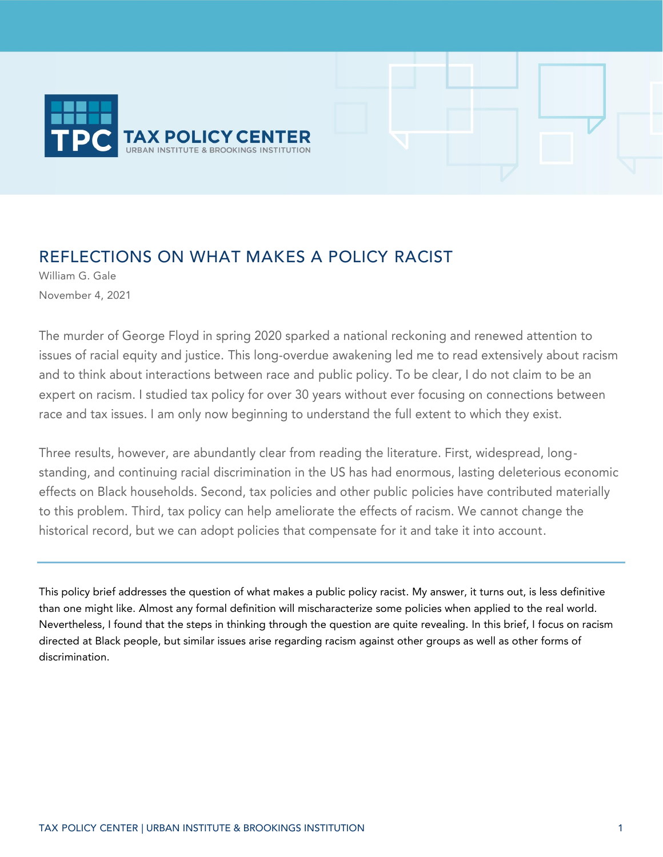

# REFLECTIONS ON WHAT MAKES A POLICY RACIST

William G. Gale November 4, 2021

The murder of George Floyd in spring 2020 sparked a national reckoning and renewed attention to issues of racial equity and justice. This long-overdue awakening led me to read extensively about racism and to think about interactions between race and public policy. To be clear, I do not claim to be an expert on racism. I studied tax policy for over 30 years without ever focusing on connections between race and tax issues. I am only now beginning to understand the full extent to which they exist.

Three results, however, are abundantly clear from reading the literature. First, widespread, longstanding, and continuing racial discrimination in the US has had enormous, lasting deleterious economic effects on Black households. Second, tax policies and other public policies have contributed materially to this problem. Third, tax policy can help ameliorate the effects of racism. We cannot change the historical record, but we can adopt policies that compensate for it and take it into account.

This policy brief addresses the question of what makes a public policy racist. My answer, it turns out, is less definitive than one might like. Almost any formal definition will mischaracterize some policies when applied to the real world. Nevertheless, I found that the steps in thinking through the question are quite revealing. In this brief, I focus on racism directed at Black people, but similar issues arise regarding racism against other groups as well as other forms of discrimination.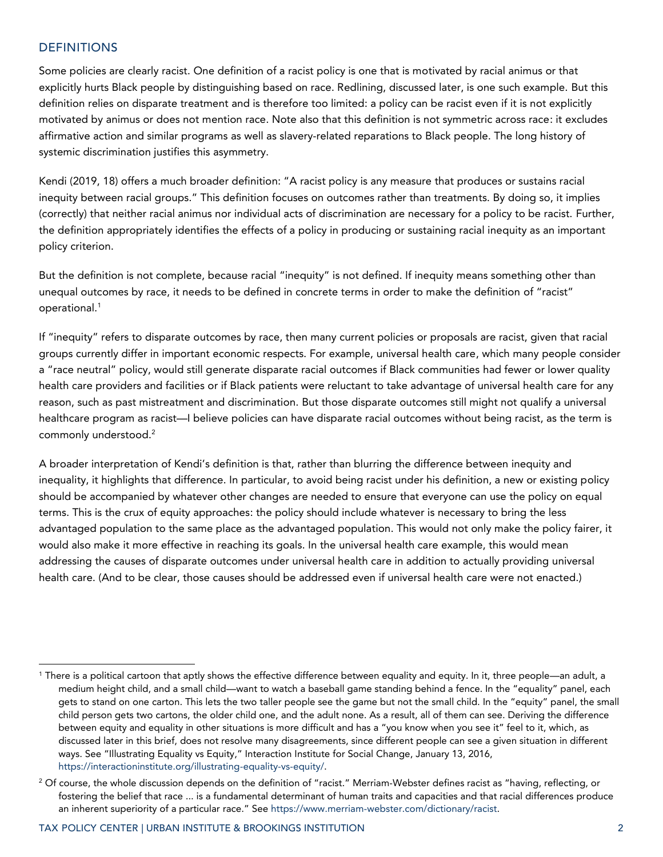# **DEFINITIONS**

Some policies are clearly racist. One definition of a racist policy is one that is motivated by racial animus or that explicitly hurts Black people by distinguishing based on race. Redlining, discussed later, is one such example. But this definition relies on disparate treatment and is therefore too limited: a policy can be racist even if it is not explicitly motivated by animus or does not mention race. Note also that this definition is not symmetric across race: it excludes affirmative action and similar programs as well as slavery-related reparations to Black people. The long history of systemic discrimination justifies this asymmetry.

Kendi (2019, 18) offers a much broader definition: "A racist policy is any measure that produces or sustains racial inequity between racial groups." This definition focuses on outcomes rather than treatments. By doing so, it implies (correctly) that neither racial animus nor individual acts of discrimination are necessary for a policy to be racist. Further, the definition appropriately identifies the effects of a policy in producing or sustaining racial inequity as an important policy criterion.

But the definition is not complete, because racial "inequity" is not defined. If inequity means something other than unequal outcomes by race, it needs to be defined in concrete terms in order to make the definition of "racist" operational.<sup>1</sup>

If "inequity" refers to disparate outcomes by race, then many current policies or proposals are racist, given that racial groups currently differ in important economic respects. For example, universal health care, which many people consider a "race neutral" policy, would still generate disparate racial outcomes if Black communities had fewer or lower quality health care providers and facilities or if Black patients were reluctant to take advantage of universal health care for any reason, such as past mistreatment and discrimination. But those disparate outcomes still might not qualify a universal healthcare program as racist—I believe policies can have disparate racial outcomes without being racist, as the term is commonly understood.<sup>2</sup>

A broader interpretation of Kendi's definition is that, rather than blurring the difference between inequity and inequality, it highlights that difference. In particular, to avoid being racist under his definition, a new or existing policy should be accompanied by whatever other changes are needed to ensure that everyone can use the policy on equal terms. This is the crux of equity approaches: the policy should include whatever is necessary to bring the less advantaged population to the same place as the advantaged population. This would not only make the policy fairer, it would also make it more effective in reaching its goals. In the universal health care example, this would mean addressing the causes of disparate outcomes under universal health care in addition to actually providing universal health care. (And to be clear, those causes should be addressed even if universal health care were not enacted.)

<sup>1</sup> There is a political cartoon that aptly shows the effective difference between equality and equity. In it, three people—an adult, a medium height child, and a small child—want to watch a baseball game standing behind a fence. In the "equality" panel, each gets to stand on one carton. This lets the two taller people see the game but not the small child. In the "equity" panel, the small child person gets two cartons, the older child one, and the adult none. As a result, all of them can see. Deriving the difference between equity and equality in other situations is more difficult and has a "you know when you see it" feel to it, which, as discussed later in this brief, does not resolve many disagreements, since different people can see a given situation in different ways. See "Illustrating Equality vs Equity," Interaction Institute for Social Change, January 13, 2016, [https://interactioninstitute.org/illustrating-equality-vs-equity/.](https://interactioninstitute.org/illustrating-equality-vs-equity/)

 $2$  Of course, the whole discussion depends on the definition of "racist." Merriam-Webster defines racist as "having, reflecting, or fostering the belief that race ... is a fundamental determinant of human traits and capacities and that racial differences produce an inherent superiority of a particular race." See [https://www.merriam-webster.com/dictionary/racist.](https://www.merriam-webster.com/dictionary/racist)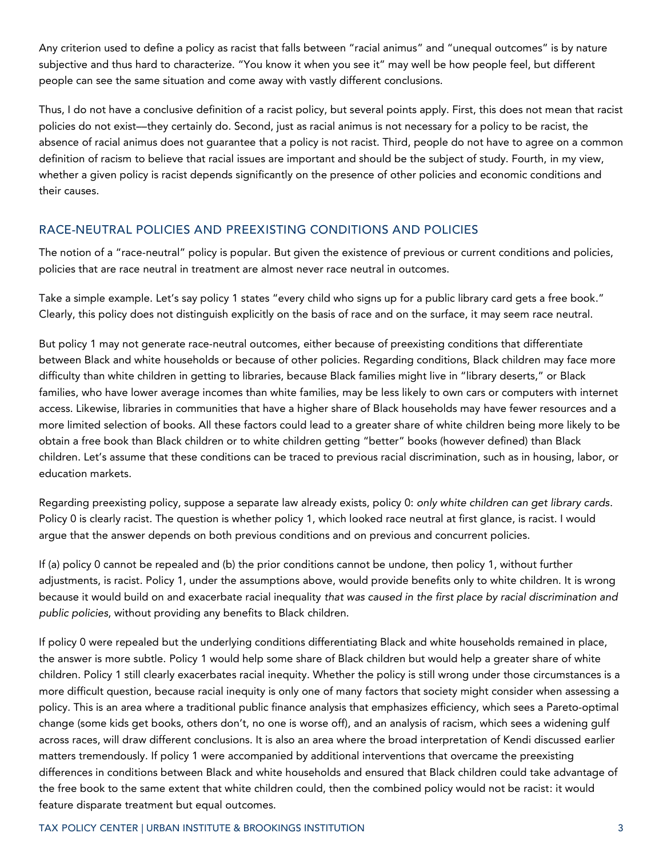Any criterion used to define a policy as racist that falls between "racial animus" and "unequal outcomes" is by nature subjective and thus hard to characterize. "You know it when you see it" may well be how people feel, but different people can see the same situation and come away with vastly different conclusions.

Thus, I do not have a conclusive definition of a racist policy, but several points apply. First, this does not mean that racist policies do not exist––they certainly do. Second, just as racial animus is not necessary for a policy to be racist, the absence of racial animus does not guarantee that a policy is not racist. Third, people do not have to agree on a common definition of racism to believe that racial issues are important and should be the subject of study. Fourth, in my view, whether a given policy is racist depends significantly on the presence of other policies and economic conditions and their causes.

# RACE-NEUTRAL POLICIES AND PREEXISTING CONDITIONS AND POLICIES

The notion of a "race-neutral" policy is popular. But given the existence of previous or current conditions and policies, policies that are race neutral in treatment are almost never race neutral in outcomes.

Take a simple example. Let's say policy 1 states "every child who signs up for a public library card gets a free book." Clearly, this policy does not distinguish explicitly on the basis of race and on the surface, it may seem race neutral.

But policy 1 may not generate race-neutral outcomes, either because of preexisting conditions that differentiate between Black and white households or because of other policies. Regarding conditions, Black children may face more difficulty than white children in getting to libraries, because Black families might live in "library deserts," or Black families, who have lower average incomes than white families, may be less likely to own cars or computers with internet access. Likewise, libraries in communities that have a higher share of Black households may have fewer resources and a more limited selection of books. All these factors could lead to a greater share of white children being more likely to be obtain a free book than Black children or to white children getting "better" books (however defined) than Black children. Let's assume that these conditions can be traced to previous racial discrimination, such as in housing, labor, or education markets.

Regarding preexisting policy, suppose a separate law already exists, policy 0: *only white children can get library cards*. Policy 0 is clearly racist. The question is whether policy 1, which looked race neutral at first glance, is racist. I would argue that the answer depends on both previous conditions and on previous and concurrent policies.

If (a) policy 0 cannot be repealed and (b) the prior conditions cannot be undone, then policy 1, without further adjustments, is racist. Policy 1, under the assumptions above, would provide benefits only to white children. It is wrong because it would build on and exacerbate racial inequality *that was caused in the first place by racial discrimination and public policies*, without providing any benefits to Black children.

If policy 0 were repealed but the underlying conditions differentiating Black and white households remained in place, the answer is more subtle. Policy 1 would help some share of Black children but would help a greater share of white children. Policy 1 still clearly exacerbates racial inequity. Whether the policy is still wrong under those circumstances is a more difficult question, because racial inequity is only one of many factors that society might consider when assessing a policy. This is an area where a traditional public finance analysis that emphasizes efficiency, which sees a Pareto-optimal change (some kids get books, others don't, no one is worse off), and an analysis of racism, which sees a widening gulf across races, will draw different conclusions. It is also an area where the broad interpretation of Kendi discussed earlier matters tremendously. If policy 1 were accompanied by additional interventions that overcame the preexisting differences in conditions between Black and white households and ensured that Black children could take advantage of the free book to the same extent that white children could, then the combined policy would not be racist: it would feature disparate treatment but equal outcomes.

### TAX POLICY CENTER | URBAN INSTITUTE & BROOKINGS INSTITUTION 3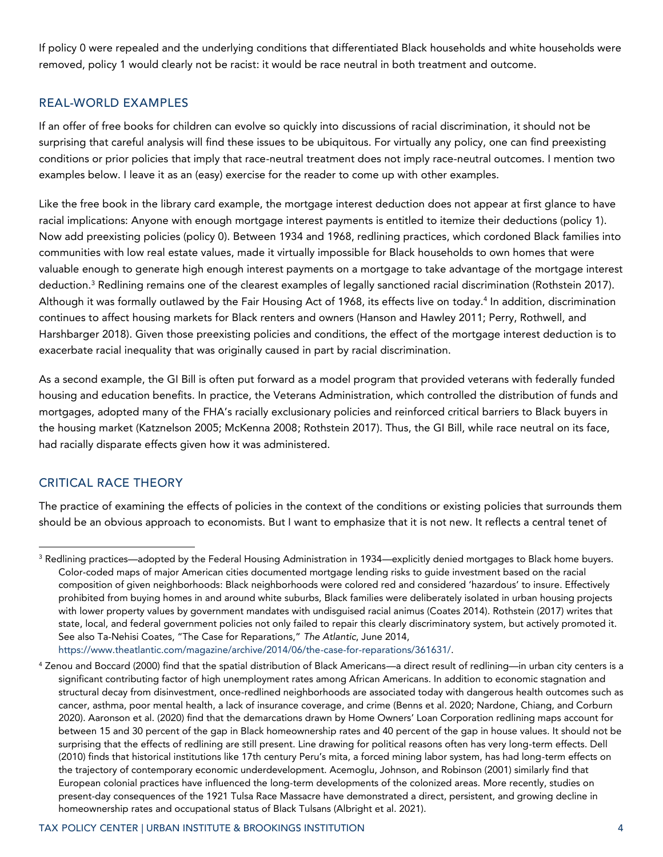If policy 0 were repealed and the underlying conditions that differentiated Black households and white households were removed, policy 1 would clearly not be racist: it would be race neutral in both treatment and outcome.

## REAL-WORLD EXAMPLES

If an offer of free books for children can evolve so quickly into discussions of racial discrimination, it should not be surprising that careful analysis will find these issues to be ubiquitous. For virtually any policy, one can find preexisting conditions or prior policies that imply that race-neutral treatment does not imply race-neutral outcomes. I mention two examples below. I leave it as an (easy) exercise for the reader to come up with other examples.

Like the free book in the library card example, the mortgage interest deduction does not appear at first glance to have racial implications: Anyone with enough mortgage interest payments is entitled to itemize their deductions (policy 1). Now add preexisting policies (policy 0). Between 1934 and 1968, redlining practices, which cordoned Black families into communities with low real estate values, made it virtually impossible for Black households to own homes that were valuable enough to generate high enough interest payments on a mortgage to take advantage of the mortgage interest deduction. <sup>3</sup> Redlining remains one of the clearest examples of legally sanctioned racial discrimination (Rothstein 2017). Although it was formally outlawed by the Fair Housing Act of 1968, its effects live on today.<sup>4</sup> In addition, discrimination continues to affect housing markets for Black renters and owners (Hanson and Hawley 2011; Perry, Rothwell, and Harshbarger 2018). Given those preexisting policies and conditions, the effect of the mortgage interest deduction is to exacerbate racial inequality that was originally caused in part by racial discrimination.

As a second example, the GI Bill is often put forward as a model program that provided veterans with federally funded housing and education benefits. In practice, the Veterans Administration, which controlled the distribution of funds and mortgages, adopted many of the FHA's racially exclusionary policies and reinforced critical barriers to Black buyers in the housing market (Katznelson 2005; McKenna 2008; Rothstein 2017). Thus, the GI Bill, while race neutral on its face, had racially disparate effects given how it was administered.

## CRITICAL RACE THEORY

The practice of examining the effects of policies in the context of the conditions or existing policies that surrounds them should be an obvious approach to economists. But I want to emphasize that it is not new. It reflects a central tenet of

<sup>&</sup>lt;sup>3</sup> Redlining practices—adopted by the Federal Housing Administration in 1934—explicitly denied mortgages to Black home buyers. Color-coded maps of major American cities documented mortgage lending risks to guide investment based on the racial composition of given neighborhoods: Black neighborhoods were colored red and considered 'hazardous' to insure. Effectively prohibited from buying homes in and around white suburbs, Black families were deliberately isolated in urban housing projects with lower property values by government mandates with undisguised racial animus (Coates 2014). Rothstein (2017) writes that state, local, and federal government policies not only failed to repair this clearly discriminatory system, but actively promoted it. See also Ta-Nehisi Coates, "The Case for Reparations," *The Atlantic*, June 2014,

[https://www.theatlantic.com/magazine/archive/2014/06/the-case-for-reparations/361631/.](https://www.theatlantic.com/magazine/archive/2014/06/the-case-for-reparations/361631/)

<sup>4</sup> Zenou and Boccard (2000) find that the spatial distribution of Black Americans—a direct result of redlining—in urban city centers is a significant contributing factor of high unemployment rates among African Americans. In addition to economic stagnation and structural decay from disinvestment, once-redlined neighborhoods are associated today with dangerous health outcomes such as cancer, asthma, poor mental health, a lack of insurance coverage, and crime (Benns et al. 2020; Nardone, Chiang, and Corburn 2020). Aaronson et al. (2020) find that the demarcations drawn by Home Owners' Loan Corporation redlining maps account for between 15 and 30 percent of the gap in Black homeownership rates and 40 percent of the gap in house values. It should not be surprising that the effects of redlining are still present. Line drawing for political reasons often has very long-term effects. Dell (2010) finds that historical institutions like 17th century Peru's mita, a forced mining labor system, has had long-term effects on the trajectory of contemporary economic underdevelopment. Acemoglu, Johnson, and Robinson (2001) similarly find that European colonial practices have influenced the long-term developments of the colonized areas. More recently, studies on present-day consequences of the 1921 Tulsa Race Massacre have demonstrated a direct, persistent, and growing decline in homeownership rates and occupational status of Black Tulsans (Albright et al. 2021).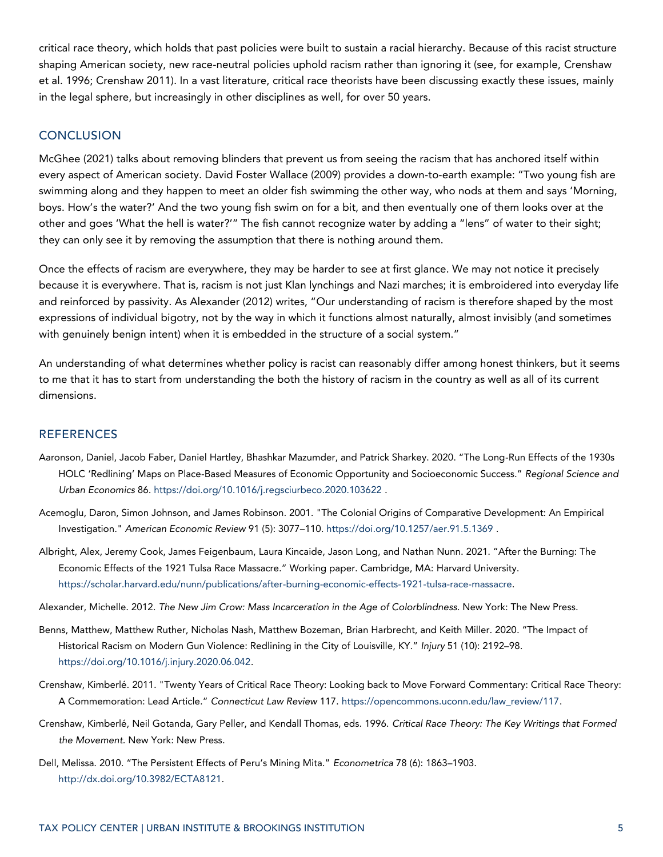critical race theory, which holds that past policies were built to sustain a racial hierarchy. Because of this racist structure shaping American society, new race-neutral policies uphold racism rather than ignoring it (see, for example, Crenshaw et al. 1996; Crenshaw 2011). In a vast literature, critical race theorists have been discussing exactly these issues, mainly in the legal sphere, but increasingly in other disciplines as well, for over 50 years.

# **CONCLUSION**

McGhee (2021) talks about removing blinders that prevent us from seeing the racism that has anchored itself within every aspect of American society. David Foster Wallace (2009) provides a down-to-earth example: "Two young fish are swimming along and they happen to meet an older fish swimming the other way, who nods at them and says 'Morning, boys. How's the water?' And the two young fish swim on for a bit, and then eventually one of them looks over at the other and goes 'What the hell is water?'" The fish cannot recognize water by adding a "lens" of water to their sight; they can only see it by removing the assumption that there is nothing around them.

Once the effects of racism are everywhere, they may be harder to see at first glance. We may not notice it precisely because it is everywhere. That is, racism is not just Klan lynchings and Nazi marches; it is embroidered into everyday life and reinforced by passivity. As Alexander (2012) writes, "Our understanding of racism is therefore shaped by the most expressions of individual bigotry, not by the way in which it functions almost naturally, almost invisibly (and sometimes with genuinely benign intent) when it is embedded in the structure of a social system."

An understanding of what determines whether policy is racist can reasonably differ among honest thinkers, but it seems to me that it has to start from understanding the both the history of racism in the country as well as all of its current dimensions.

#### **REFERENCES**

- Aaronson, Daniel, Jacob Faber, Daniel Hartley, Bhashkar Mazumder, and Patrick Sharkey. 2020. "The Long-Run Effects of the 1930s HOLC 'Redlining' Maps on Place-Based Measures of Economic Opportunity and Socioeconomic Success." *Regional Science and Urban Economics* 86.<https://doi.org/10.1016/j.regsciurbeco.2020.103622> .
- Acemoglu, Daron, Simon Johnson, and James Robinson. 2001. "The Colonial Origins of Comparative Development: An Empirical Investigation." *American Economic Review* 91 (5): 3077–110[. https://doi.org/10.1257/aer.91.5.1369](https://doi.org/10.1257/aer.91.5.1369) .
- Albright, Alex, Jeremy Cook, James Feigenbaum, Laura Kincaide, Jason Long, and Nathan Nunn. 2021. "After the Burning: The Economic Effects of the 1921 Tulsa Race Massacre." Working paper. Cambridge, MA: Harvard University. [https://scholar.harvard.edu/nunn/publications/after-burning-economic-effects-1921-tulsa-race-massacre.](https://scholar.harvard.edu/nunn/publications/after-burning-economic-effects-1921-tulsa-race-massacre)
- Alexander, Michelle. 2012. *The New Jim Crow: Mass Incarceration in the Age of Colorblindness*. New York: The New Press.
- Benns, Matthew, Matthew Ruther, Nicholas Nash, Matthew Bozeman, Brian Harbrecht, and Keith Miller. 2020. "The Impact of Historical Racism on Modern Gun Violence: Redlining in the City of Louisville, KY." *Injury* 51 (10): 2192–98. [https://doi.org/10.1016/j.injury.2020.06.042.](https://doi.org/10.1016/j.injury.2020.06.042)
- Crenshaw, Kimberlé. 2011. "Twenty Years of Critical Race Theory: Looking back to Move Forward Commentary: Critical Race Theory: A Commemoration: Lead Article." *Connecticut Law Review* 117[. https://opencommons.uconn.edu/law\\_review/117.](https://opencommons.uconn.edu/law_review/117)
- Crenshaw, Kimberlé, Neil Gotanda, Gary Peller, and Kendall Thomas, eds. 1996. *Critical Race Theory: The Key Writings that Formed the Movement.* New York: New Press.
- Dell, Melissa. 2010. "The Persistent Effects of Peru's Mining Mita." *Econometrica* 78 (6): 1863–1903. [http://dx.doi.org/10.3982/ECTA8121.](http://dx.doi.org/10.3982/ECTA8121)